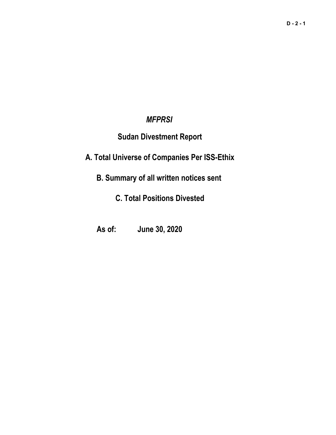# *MFPRSI*

# **Sudan Divestment Report**

**A. Total Universe of Companies Per ISS-Ethix**

**B. Summary of all written notices sent** 

**C. Total Positions Divested**

**As of: June 30, 2020**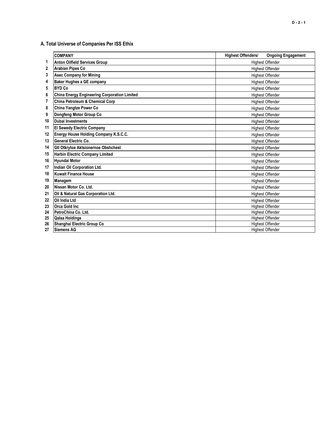## **A. Total Universe of Companies Per ISS Ethix**

|    | <b>COMPANY</b>                                      | <b>Highest Offenders/</b> | <b>Ongoing Engagement</b> |
|----|-----------------------------------------------------|---------------------------|---------------------------|
| 1  | <b>Anton Oilfield Services Group</b>                | <b>Highest Offender</b>   |                           |
| 2  | Arabian Pipes Co                                    | <b>Highest Offender</b>   |                           |
| 3  | <b>Asec Company for Mining</b>                      | <b>Highest Offender</b>   |                           |
| 4  | <b>Baker Hughes a GE company</b>                    | <b>Highest Offender</b>   |                           |
| 5  | <b>BYD Co</b>                                       | <b>Highest Offender</b>   |                           |
| 6  | <b>China Energy Engineering Corporation Limited</b> | <b>Highest Offender</b>   |                           |
| 7  | <b>China Petroleum &amp; Chemical Corp</b>          |                           | <b>Highest Offender</b>   |
| 8  | China Yangtze Power Co                              |                           | <b>Highest Offender</b>   |
| 9  | Dongfeng Motor Group Co                             |                           | <b>Highest Offender</b>   |
| 10 | <b>Dubai Investments</b>                            |                           | <b>Highest Offender</b>   |
| 11 | <b>El Sewedy Electric Company</b>                   |                           | <b>Highest Offender</b>   |
| 12 | Energy House Holding Company K.S.C.C.               |                           | <b>Highest Offender</b>   |
| 13 | General Electric Co.                                |                           | <b>Highest Offender</b>   |
| 14 | Gtl Otkrytoe Aktsionernoe Obshchest                 |                           | <b>Highest Offender</b>   |
| 15 | <b>Harbin Electric Company Limited</b>              |                           | <b>Highest Offender</b>   |
| 16 | Hyundai Motor                                       |                           | <b>Highest Offender</b>   |
| 17 | Indian Oil Corporation Ltd.                         |                           | <b>Highest Offender</b>   |
| 18 | <b>Kuwait Finance House</b>                         |                           | <b>Highest Offender</b>   |
| 19 | Managem                                             |                           | <b>Highest Offender</b>   |
| 20 | Nissan Motor Co. Ltd.                               |                           | <b>Highest Offender</b>   |
| 21 | Oil & Natural Gas Corporation Ltd.                  |                           | <b>Highest Offender</b>   |
| 22 | Oil India Ltd                                       |                           | <b>Highest Offender</b>   |
| 23 | Orca Gold Inc.                                      |                           | <b>Highest Offender</b>   |
| 24 | PetroChina Co. Ltd.                                 |                           | <b>Highest Offender</b>   |
| 25 | <b>Qalaa Holdings</b>                               |                           | <b>Highest Offender</b>   |
| 26 | Shanghai Electric Group Co                          | <b>Highest Offender</b>   |                           |
| 27 | <b>Siemens AG</b>                                   |                           | <b>Highest Offender</b>   |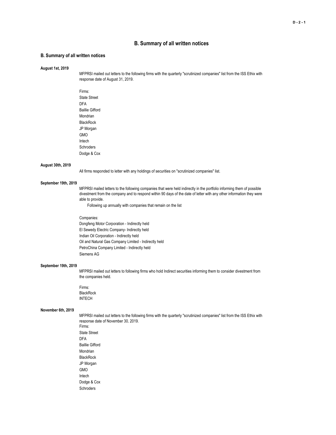## **B. Summary of all written notices**

### **B. Summary of all written notices**

#### **August 1st, 2019**

MFPRSI mailed out letters to the following firms with the quarterly "scrutinized companies" list from the ISS Ethix with response date of August 31, 2019.

Firms: State Street DFA Baillie Gifford Mondrian **BlackRock** JP Morgan GMO Intech **Schroders** Dodge & Cox

#### **August 30th, 2019**

All firms responded to letter with any holdings of securities on "scrutinized companies" list.

#### **September 19th, 2019**

MFPRSI mailed letters to the following companies that were held indirectly in the portfolio informing them of possible divestment from the company and to respond within 90 days of the date of letter with any other information they were able to provide.

Following up annually with companies that remain on the list

## Companies: Dongfeng Motor Corporation - Indirectly held El Sewedy Electric Company- Indirectly held Indian Oil Corporation - Indirectly held Oil and Natural Gas Company Limited - Indirectly held PetroChina Company Limited - Indirectly held Siemens AG

### **September 19th, 2019**

MFPRSI mailed out letters to following firms who hold Indirect securities informing them to consider divestment from the companies held.

Firms: **BlackRock** INTECH

Dodge & Cox Schroders

#### **November 6th, 2019**

MFPRSI mailed out letters to the following firms with the quarterly "scrutinized companies" list from the ISS Ethix with response date of November 30, 2019. Firms: State Street DFA Baillie Gifford Mondrian BlackRock JP Morgan GMO Intech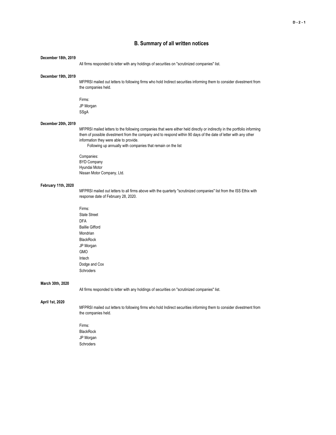## **B. Summary of all written notices**

#### **December 18th, 2019**

All firms responded to letter with any holdings of securities on "scrutinized companies" list.

#### **December 19th, 2019**

MFPRSI mailed out letters to following firms who hold Indirect securities informing them to consider divestment from the companies held.

Firms: JP Morgan SSgA

## **December 20th, 2019**

MFPRSI mailed letters to the following companies that were either held directly or indirectly in the portfolio informing them of possible divestment from the company and to respond within 90 days of the date of letter with any other information they were able to provide.

Following up annually with companies that remain on the list

Companies: BYD Company Hyundai Motor Nissan Motor Company, Ltd.

#### **February 11th, 2020**

MFPRSI mailed out letters to all firms above with the quarterly "scrutinized companies" list from the ISS Ethix with response date of February 28, 2020.

Firms: State Street DFA Baillie Gifford Mondrian **BlackRock** JP Morgan GMO Intech Dodge and Cox Schroders

#### **March 30th, 2020**

All firms responded to letter with any holdings of securities on "scrutinized companies" list.

## **April 1st, 2020**

MFPRSI mailed out letters to following firms who hold Indirect securities informing them to consider divestment from the companies held.

Firms: BlackRock JP Morgan Schroders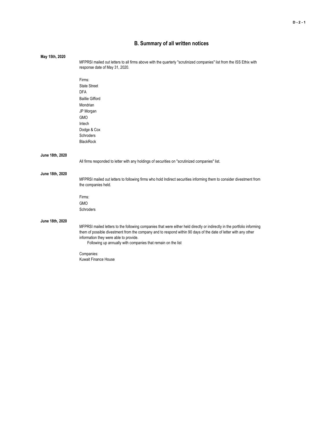## **B. Summary of all written notices**

| May 15th, 2020  |                                                                                                                                             |
|-----------------|---------------------------------------------------------------------------------------------------------------------------------------------|
|                 | MFPRSI mailed out letters to all firms above with the quarterly "scrutinized companies" list from the ISS Ethix with                        |
|                 | response date of May 31, 2020.                                                                                                              |
|                 | Firms:                                                                                                                                      |
|                 | <b>State Street</b>                                                                                                                         |
|                 | <b>DFA</b>                                                                                                                                  |
|                 | <b>Baillie Gifford</b>                                                                                                                      |
|                 | Mondrian                                                                                                                                    |
|                 | JP Morgan                                                                                                                                   |
|                 | <b>GMO</b>                                                                                                                                  |
|                 | Intech                                                                                                                                      |
|                 | Dodge & Cox                                                                                                                                 |
|                 | Schroders                                                                                                                                   |
|                 | <b>BlackRock</b>                                                                                                                            |
| June 18th, 2020 |                                                                                                                                             |
|                 | All firms responded to letter with any holdings of securities on "scrutinized companies" list.                                              |
| June 18th, 2020 |                                                                                                                                             |
|                 | MFPRSI mailed out letters to following firms who hold Indirect securities informing them to consider divestment from<br>the companies held. |
|                 | Firms:                                                                                                                                      |
|                 | GMO                                                                                                                                         |
|                 | Schroders                                                                                                                                   |
| June 18th, 2020 |                                                                                                                                             |
|                 | MFPRSI mailed letters to the following companies that were either held directly or indirectly in the portfolio informing                    |
|                 | them of possible divestment from the company and to respond within 90 days of the date of letter with any other                             |
|                 | information they were able to provide.                                                                                                      |
|                 | Following up annually with companies that remain on the list                                                                                |
|                 | Companies:                                                                                                                                  |
|                 | <b>Kuwait Finance House</b>                                                                                                                 |